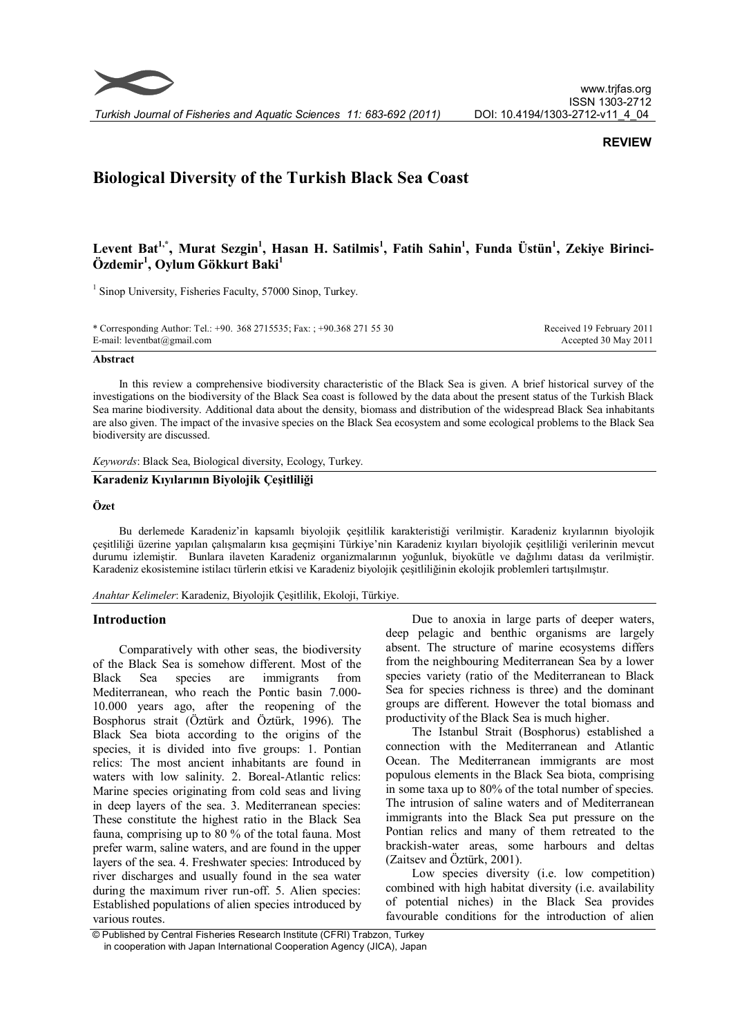

# **REVIEW**

# **Biological Diversity of the Turkish Black Sea Coast**

# **Levent Bat1,\* , Murat Sezgin<sup>1</sup> , Hasan H. Satilmis<sup>1</sup> , Fatih Sahin<sup>1</sup> , Funda Üstün<sup>1</sup> , Zekiye Birinci-Özdemir<sup>1</sup> , Oylum Gökkurt Baki<sup>1</sup>**

<sup>1</sup> Sinop University, Fisheries Faculty, 57000 Sinop, Turkey.

\* Corresponding Author: Tel.: +90. 368 2715535; Fax: ; +90.368 271 55 30 E-mail: leventbat@gmail.com Received 19 February 2011 Accepted 30 May 2011

#### **Abstract**

In this review a comprehensive biodiversity characteristic of the Black Sea is given. A brief historical survey of the investigations on the biodiversity of the Black Sea coast is followed by the data about the present status of the Turkish Black Sea marine biodiversity. Additional data about the density, biomass and distribution of the widespread Black Sea inhabitants are also given. The impact of the invasive species on the Black Sea ecosystem and some ecological problems to the Black Sea biodiversity are discussed.

*Keywords*: Black Sea, Biological diversity, Ecology, Turkey.

# **Karadeniz Kıyılarının Biyolojik Çeşitliliği**

# **Özet**

Bu derlemede Karadeniz'in kapsamlı biyolojik çeşitlilik karakteristiği verilmiştir. Karadeniz kıyılarının biyolojik çeşitliliği üzerine yapılan çalışmaların kısa geçmişini Türkiye'nin Karadeniz kıyıları biyolojik çeşitliliği verilerinin mevcut durumu izlemiştir. Bunlara ilaveten Karadeniz organizmalarının yoğunluk, biyokütle ve dağılımı datası da verilmiştir. Karadeniz ekosistemine istilacı türlerin etkisi ve Karadeniz biyolojik çeşitliliğinin ekolojik problemleri tartışılmıştır.

*Anahtar Kelimeler*: Karadeniz, Biyolojik Çeşitlilik, Ekoloji, Türkiye.

#### **Introduction**

Comparatively with other seas, the biodiversity of the Black Sea is somehow different. Most of the Black Sea species are immigrants from Mediterranean, who reach the Pontic basin 7.000- 10.000 years ago, after the reopening of the Bosphorus strait (Öztürk and Öztürk, 1996). The Black Sea biota according to the origins of the species, it is divided into five groups: 1. Pontian relics: The most ancient inhabitants are found in waters with low salinity. 2. Boreal-Atlantic relics: Marine species originating from cold seas and living in deep layers of the sea. 3. Mediterranean species: These constitute the highest ratio in the Black Sea fauna, comprising up to 80 % of the total fauna. Most prefer warm, saline waters, and are found in the upper layers of the sea. 4. Freshwater species: Introduced by river discharges and usually found in the sea water during the maximum river run-off. 5. Alien species: Established populations of alien species introduced by various routes.

Due to anoxia in large parts of deeper waters, deep pelagic and benthic organisms are largely absent. The structure of marine ecosystems differs from the neighbouring Mediterranean Sea by a lower species variety (ratio of the Mediterranean to Black Sea for species richness is three) and the dominant groups are different. However the total biomass and productivity of the Black Sea is much higher.

The Istanbul Strait (Bosphorus) established a connection with the Mediterranean and Atlantic Ocean. The Mediterranean immigrants are most populous elements in the Black Sea biota, comprising in some taxa up to 80% of the total number of species. The intrusion of saline waters and of Mediterranean immigrants into the Black Sea put pressure on the Pontian relics and many of them retreated to the brackish-water areas, some harbours and deltas (Zaitsev and Öztürk, 2001).

Low species diversity (*i.e.* low competition) combined with high habitat diversity (i.e. availability of potential niches) in the Black Sea provides favourable conditions for the introduction of alien

 <sup>©</sup> Published by Central Fisheries Research Institute (CFRI) Trabzon, Turkey in cooperation with Japan International Cooperation Agency (JICA), Japan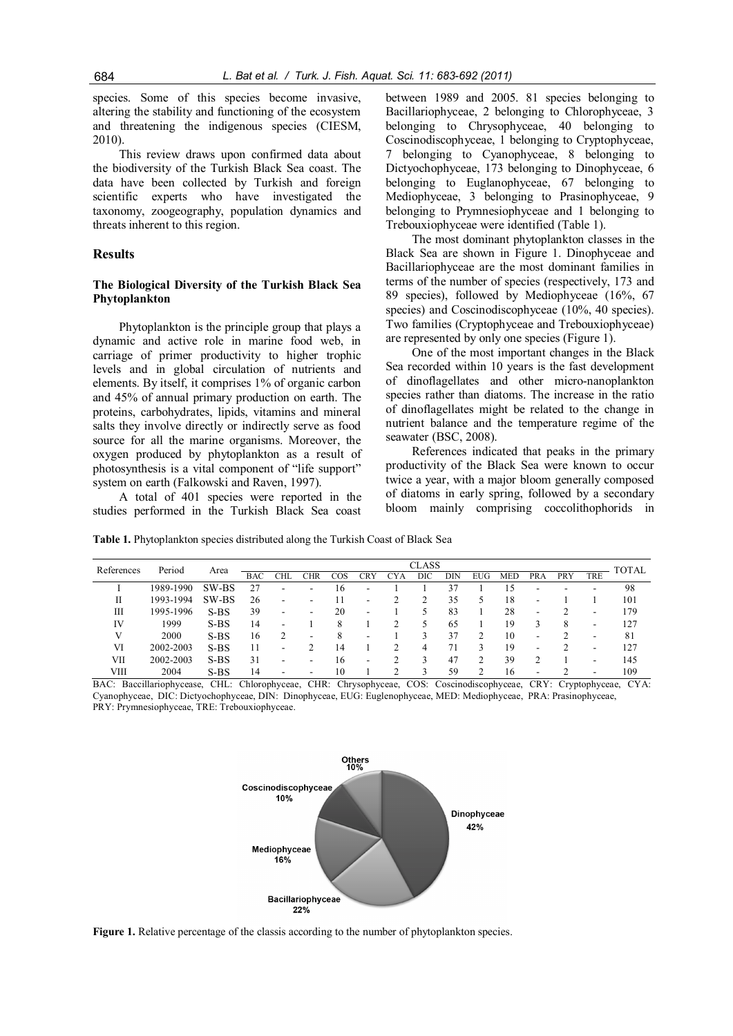species. Some of this species become invasive, altering the stability and functioning of the ecosystem and threatening the indigenous species (CIESM, 2010).

This review draws upon confirmed data about the biodiversity of the Turkish Black Sea coast. The data have been collected by Turkish and foreign scientific experts who have investigated the taxonomy, zoogeography, population dynamics and threats inherent to this region.

#### **Results**

#### **The Biological Diversity of the Turkish Black Sea Phytoplankton**

Phytoplankton is the principle group that plays a dynamic and active role in marine food web, in carriage of primer productivity to higher trophic levels and in global circulation of nutrients and elements. By itself, it comprises 1% of organic carbon and 45% of annual primary production on earth. The proteins, carbohydrates, lipids, vitamins and mineral salts they involve directly or indirectly serve as food source for all the marine organisms. Moreover, the oxygen produced by phytoplankton as a result of photosynthesis is a vital component of "life support" system on earth (Falkowski and Raven, 1997).

A total of 401 species were reported in the studies performed in the Turkish Black Sea coast

between 1989 and 2005. 81 species belonging to Bacillariophyceae, 2 belonging to Chlorophyceae, 3 belonging to Chrysophyceae, 40 belonging to Coscinodiscophyceae, 1 belonging to Cryptophyceae, 7 belonging to Cyanophyceae, 8 belonging to Dictyochophyceae, 173 belonging to Dinophyceae, 6 belonging to Euglanophyceae, 67 belonging to Mediophyceae, 3 belonging to Prasinophyceae, 9 belonging to Prymnesiophyceae and 1 belonging to Trebouxiophyceae were identified (Table 1).

The most dominant phytoplankton classes in the Black Sea are shown in Figure 1. Dinophyceae and Bacillariophyceae are the most dominant families in terms of the number of species (respectively, 173 and 89 species), followed by Mediophyceae (16%, 67 species) and Coscinodiscophyceae (10%, 40 species). Two families (Cryptophyceae and Trebouxiophyceae) are represented by only one species (Figure 1).

One of the most important changes in the Black Sea recorded within 10 years is the fast development of dinoflagellates and other micro-nanoplankton species rather than diatoms. The increase in the ratio of dinoflagellates might be related to the change in nutrient balance and the temperature regime of the seawater (BSC, 2008).

References indicated that peaks in the primary productivity of the Black Sea were known to occur twice a year, with a major bloom generally composed of diatoms in early spring, followed by a secondary bloom mainly comprising coccolithophorids in

**Table 1.** Phytoplankton species distributed along the Turkish Coast of Black Sea

| References | Period    | Area   | CLASS      |                          |     |     |                          |     |     |            |            | <b>TOTAL</b> |                          |     |                          |     |
|------------|-----------|--------|------------|--------------------------|-----|-----|--------------------------|-----|-----|------------|------------|--------------|--------------------------|-----|--------------------------|-----|
|            |           |        | <b>BAC</b> | CHL                      | CHR | COS | CRY                      | CYA | DIC | <b>DIN</b> | <b>EUG</b> | <b>MED</b>   | PRA                      | PRY | TRE                      |     |
|            | 1989-1990 | SW-BS  | 27         | -                        | ۰.  | 16  | $\overline{\phantom{a}}$ |     |     | 37         |            | 15           | $\overline{\phantom{a}}$ | -   | $\overline{\phantom{a}}$ | 98  |
| П          | 1993-1994 | SW-BS  | 26         | ۰                        |     |     |                          |     |     | 35         |            | 18           | -                        |     |                          | 101 |
| Ш          | 1995-1996 | $S-BS$ | 39         | -                        |     | 20  |                          |     |     | 83         |            | 28           | $\overline{\phantom{a}}$ |     |                          | 179 |
| IV         | 1999      | $S-BS$ | 14         | $\overline{\phantom{a}}$ |     | 8   |                          |     | 5   | 65         |            | 19           | 3                        | 8   | $\overline{\phantom{a}}$ | 127 |
| V          | 2000      | $S-BS$ | 16         |                          | -   | 8   |                          |     |     | 37         |            | 10           | $\overline{\phantom{a}}$ |     |                          | 81  |
| VI         | 2002-2003 | $S-BS$ | 11         | -                        |     | 14  |                          |     | 4   | 71         |            | 19           | ۰                        |     |                          | 127 |
| VII        | 2002-2003 | $S-BS$ | 31         | $\overline{\phantom{a}}$ | ۰   | 16  | $\overline{\phantom{a}}$ |     | ς   | 47         |            | 39           |                          |     | -                        | 145 |
| VIII       | 2004      | $S-BS$ | 14         |                          |     | 10  |                          | ◠   |     | 59         |            | 16           | ۰                        |     |                          | 109 |

BAC: Baccillariophycease, CHL: Chlorophyceae, CHR: Chrysophyceae, COS: Coscinodiscophyceae, CRY: Cryptophyceae, CYA: Cyanophyceae, DIC: Dictyochophyceae, DIN: Dinophyceae, EUG: Euglenophyceae, MED: Mediophyceae, PRA: Prasinophyceae, PRY: Prymnesiophyceae, TRE: Trebouxiophyceae.



**Figure 1.** Relative percentage of the classis according to the number of phytoplankton species.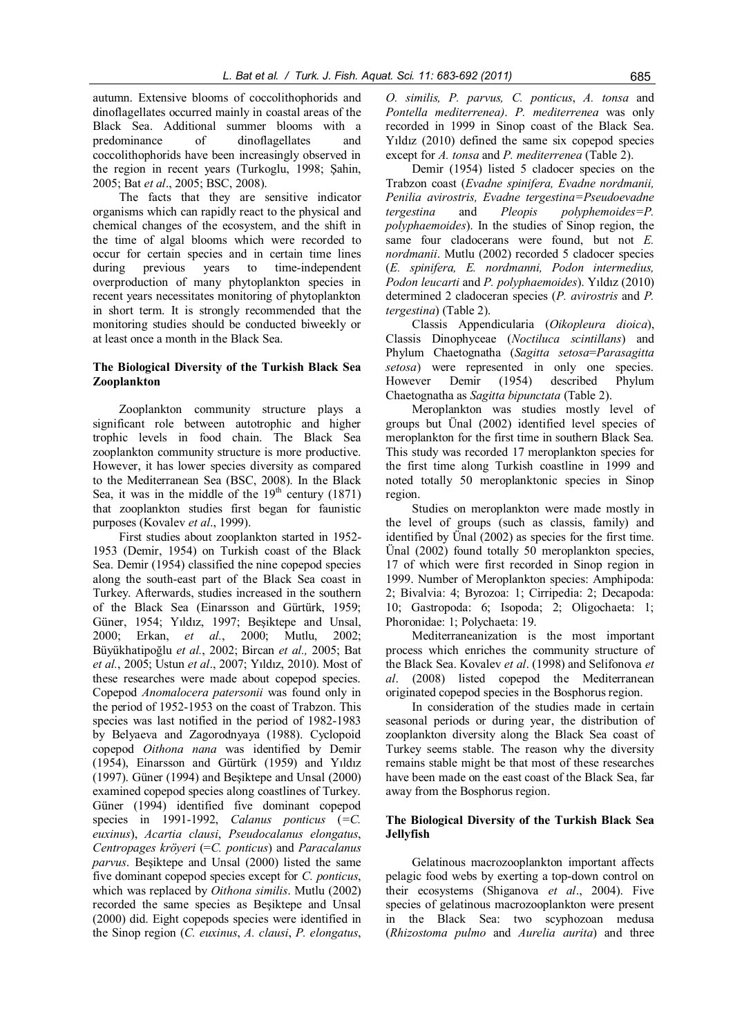autumn. Extensive blooms of coccolithophorids and dinoflagellates occurred mainly in coastal areas of the Black Sea. Additional summer blooms with a predominance of dinoflagellates and coccolithophorids have been increasingly observed in the region in recent years (Turkoglu, 1998; Şahin, 2005; Bat *et al*., 2005; BSC, 2008).

The facts that they are sensitive indicator organisms which can rapidly react to the physical and chemical changes of the ecosystem, and the shift in the time of algal blooms which were recorded to occur for certain species and in certain time lines during previous years to time-independent overproduction of many phytoplankton species in recent years necessitates monitoring of phytoplankton in short term. It is strongly recommended that the monitoring studies should be conducted biweekly or at least once a month in the Black Sea.

#### **The Biological Diversity of the Turkish Black Sea Zooplankton**

Zooplankton community structure plays a significant role between autotrophic and higher trophic levels in food chain. The Black Sea zooplankton community structure is more productive. However, it has lower species diversity as compared to the Mediterranean Sea (BSC, 2008). In the Black Sea, it was in the middle of the  $19<sup>th</sup>$  century (1871) that zooplankton studies first began for faunistic purposes (Kovalev *et al*., 1999).

First studies about zooplankton started in 1952- 1953 (Demir, 1954) on Turkish coast of the Black Sea. Demir (1954) classified the nine copepod species along the south-east part of the Black Sea coast in Turkey. Afterwards, studies increased in the southern of the Black Sea (Einarsson and Gürtürk, 1959; Güner, 1954; Yıldız, 1997; Beşiktepe and Unsal, 2000; Erkan, *et al.*, 2000; Mutlu, 2002; Büyükhatipoğlu *et al.*, 2002; Bircan *et al.,* 2005; Bat *et al.*, 2005; Ustun *et al*., 2007; Yıldız, 2010). Most of these researches were made about copepod species. Copepod *Anomalocera patersonii* was found only in the period of 1952-1953 on the coast of Trabzon. This species was last notified in the period of 1982-1983 by Belyaeva and Zagorodnyaya (1988). Cyclopoid copepod *Oithona nana* was identified by Demir (1954), Einarsson and Gürtürk (1959) and Yıldız (1997). Güner (1994) and Beşiktepe and Unsal (2000) examined copepod species along coastlines of Turkey. Güner (1994) identified five dominant copepod species in 1991-1992, *Calanus ponticus* (*=C. euxinus*), *Acartia clausi*, *Pseudocalanus elongatus*, *Centropages kröyeri* (=*C. ponticus*) and *Paracalanus parvus*. Beşiktepe and Unsal (2000) listed the same five dominant copepod species except for *C. ponticus*, which was replaced by *Oithona similis*. Mutlu (2002) recorded the same species as Beşiktepe and Unsal (2000) did. Eight copepods species were identified in the Sinop region (*C. euxinus*, *A. clausi*, *P. elongatus*, *O. similis, P. parvus, C. ponticus*, *A. tonsa* and *Pontella mediterrenea)*. *P. mediterrenea* was only recorded in 1999 in Sinop coast of the Black Sea. Yıldız (2010) defined the same six copepod species except for *A. tonsa* and *P. mediterrenea* (Table 2).

Demir (1954) listed 5 cladocer species on the Trabzon coast (*Evadne spinifera, Evadne nordmanii, Penilia avirostris, Evadne tergestina=Pseudoevadne tergestina* and *Pleopis polyphemoides=P. polyphaemoides*). In the studies of Sinop region, the same four cladocerans were found, but not *E. nordmanii*. Mutlu (2002) recorded 5 cladocer species (*E. spinifera, E. nordmanni, Podon intermedius, Podon leucarti* and *P. polyphaemoides*). Yıldız (2010) determined 2 cladoceran species (*P. avirostris* and *P. tergestina*) (Table 2).

Classis Appendicularia (*Oikopleura dioica*), Classis Dinophyceae (*Noctiluca scintillans*) and Phylum Chaetognatha (*Sagitta setosa*=*Parasagitta setosa*) were represented in only one species. However Demir (1954) described Phylum Chaetognatha as *Sagitta bipunctata* (Table 2).

Meroplankton was studies mostly level of groups but Ünal (2002) identified level species of meroplankton for the first time in southern Black Sea. This study was recorded 17 meroplankton species for the first time along Turkish coastline in 1999 and noted totally 50 meroplanktonic species in Sinop region.

Studies on meroplankton were made mostly in the level of groups (such as classis, family) and identified by Ünal (2002) as species for the first time. Ünal (2002) found totally 50 meroplankton species, 17 of which were first recorded in Sinop region in 1999. Number of Meroplankton species: Amphipoda: 2; Bivalvia: 4; Byrozoa: 1; Cirripedia: 2; Decapoda: 10; Gastropoda: 6; Isopoda; 2; Oligochaeta: 1; Phoronidae: 1; Polychaeta: 19.

Mediterraneanization is the most important process which enriches the community structure of the Black Sea. Kovalev *et al*. (1998) and Selifonova *et al*. (2008) listed copepod the Mediterranean originated copepod species in the Bosphorus region.

In consideration of the studies made in certain seasonal periods or during year, the distribution of zooplankton diversity along the Black Sea coast of Turkey seems stable. The reason why the diversity remains stable might be that most of these researches have been made on the east coast of the Black Sea, far away from the Bosphorus region.

# **The Biological Diversity of the Turkish Black Sea Jellyfish**

Gelatinous macrozooplankton important affects pelagic food webs by exerting a top-down control on their ecosystems (Shiganova *et al*., 2004). Five species of gelatinous macrozooplankton were present in the Black Sea: two scyphozoan medusa (*Rhizostoma pulmo* and *Aurelia aurita*) and three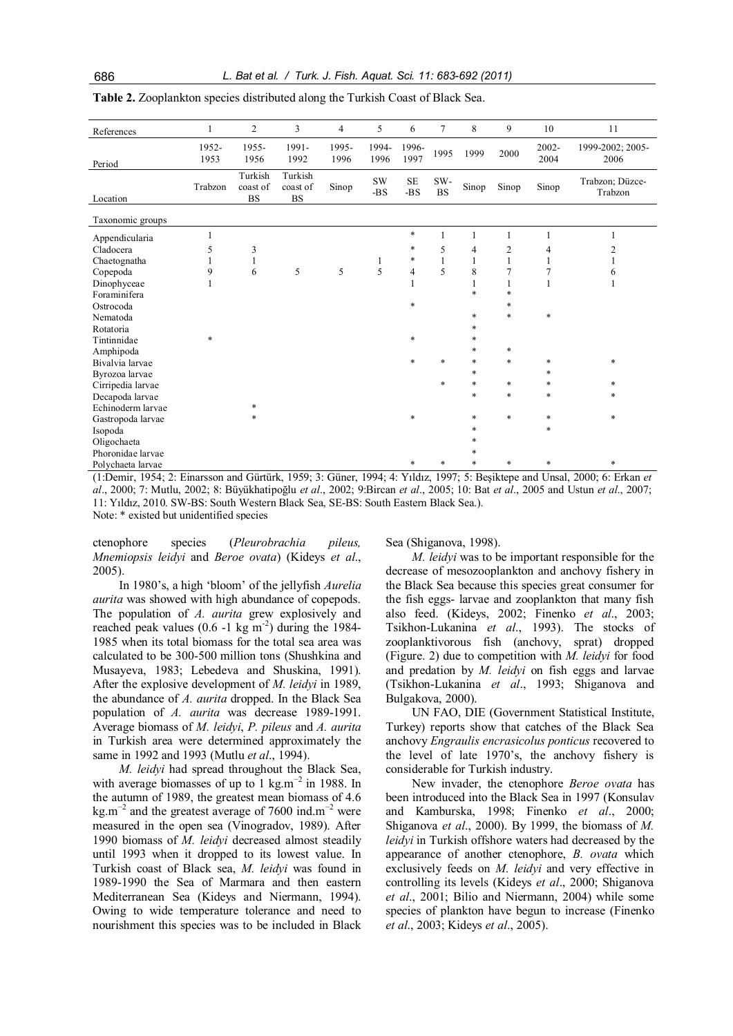| References        | $\mathbf{1}$  | $\overline{2}$                   | $\overline{3}$                   | $\overline{4}$ | 5                | 6                                    | $\overline{7}$   | 8            | 9              | 10               | 11                         |
|-------------------|---------------|----------------------------------|----------------------------------|----------------|------------------|--------------------------------------|------------------|--------------|----------------|------------------|----------------------------|
| Period            | 1952-<br>1953 | 1955-<br>1956                    | 1991-<br>1992                    | 1995-<br>1996  | 1994-<br>1996    | 1996-<br>1997                        | 1995             | 1999         | 2000           | $2002 -$<br>2004 | 1999-2002; 2005-<br>2006   |
| Location          | Trabzon       | Turkish<br>coast of<br><b>BS</b> | Turkish<br>coast of<br><b>BS</b> | Sinop          | <b>SW</b><br>-BS | $\rm SE$<br>$\mbox{{\sc {\bf -BS}}}$ | SW-<br><b>BS</b> | Sinop        | Sinop          | Sinop            | Trabzon; Düzce-<br>Trabzon |
| Taxonomic groups  |               |                                  |                                  |                |                  |                                      |                  |              |                |                  |                            |
| Appendicularia    |               |                                  |                                  |                |                  | $\ast$                               | 1                | $\mathbf{1}$ | 1              | 1                | -1                         |
| Cladocera         | 5             | 3                                |                                  |                |                  | $\ast$                               | 5                | 4            | $\overline{c}$ | 4                | $\overline{c}$             |
| Chaetognatha      | 1             | 1                                |                                  |                | 1                | $\ast$                               | $\mathbf{1}$     | 1            | 1              | $\mathbf{1}$     | 1                          |
| Copepoda          | 9             | 6                                | 5                                | 5              | 5                | $\overline{4}$                       | 5                | 8            | 7              | $\overline{7}$   | 6                          |
| Dinophyceae       | 1             |                                  |                                  |                |                  | $\mathbf{1}$                         |                  | 1            |                | $\mathbf{1}$     | 1                          |
| Foraminifera      |               |                                  |                                  |                |                  |                                      |                  | $\ast$       | $\ast$         |                  |                            |
| Ostrocoda         |               |                                  |                                  |                |                  | $\ast$                               |                  |              | $\ast$         |                  |                            |
| Nematoda          |               |                                  |                                  |                |                  |                                      |                  | $\ast$       | $\ast$         | $\ast$           |                            |
| Rotatoria         |               |                                  |                                  |                |                  |                                      |                  | $\ast$       |                |                  |                            |
| Tintinnidae       | $\ast$        |                                  |                                  |                |                  | $\ast$                               |                  | $\ast$       |                |                  |                            |
| Amphipoda         |               |                                  |                                  |                |                  |                                      |                  | $\ast$       | $\ast$         |                  |                            |
| Bivalvia larvae   |               |                                  |                                  |                |                  | $\ast$                               | $\ast$           | $\ast$       | $\ast$         | $\ast$           | $\ast$                     |
| Byrozoa larvae    |               |                                  |                                  |                |                  |                                      |                  | $\ast$       |                | $\ast$           |                            |
| Cirripedia larvae |               |                                  |                                  |                |                  |                                      | *                | $\ast$       | $\ast$         | $\ast$           | $\ast$                     |
| Decapoda larvae   |               |                                  |                                  |                |                  |                                      |                  | $\ast$       | $\ast$         | $\ast$           | $\ast$                     |
| Echinoderm larvae |               | $\ast$                           |                                  |                |                  |                                      |                  |              |                |                  |                            |
| Gastropoda larvae |               | *                                |                                  |                |                  | $\ast$                               |                  | $\ast$       | $\ast$         | $\ast$           | $\ast$                     |
| Isopoda           |               |                                  |                                  |                |                  |                                      |                  | $\ast$       |                | $\ast$           |                            |
| Oligochaeta       |               |                                  |                                  |                |                  |                                      |                  | $\ast$       |                |                  |                            |
| Phoronidae larvae |               |                                  |                                  |                |                  |                                      |                  | $\ast$       |                |                  |                            |
| Polychaeta larvae |               |                                  |                                  |                |                  | $\ast$                               | *                | $\ast$       | $\ast$         | *                | $\ast$                     |

**Table 2.** Zooplankton species distributed along the Turkish Coast of Black Sea.

(1:Demir, 1954; 2: Einarsson and Gürtürk, 1959; 3: Güner, 1994; 4: Yıldız, 1997; 5: Beşiktepe and Unsal, 2000; 6: Erkan *et al*., 2000; 7: Mutlu, 2002; 8: Büyükhatipoğlu *et al*., 2002; 9:Bircan *et al*., 2005; 10: Bat *et al*., 2005 and Ustun *et al*., 2007; 11: Yıldız, 2010. SW-BS: South Western Black Sea, SE-BS: South Eastern Black Sea.).

Note: \* existed but unidentified species

ctenophore species (*Pleurobrachia pileus, Mnemiopsis leidyi* and *Beroe ovata*) (Kideys *et al*., 2005).

Sea (Shiganova, 1998).

In 1980's, a high 'bloom' of the jellyfish *Aurelia aurita* was showed with high abundance of copepods. The population of *A. aurita* grew explosively and reached peak values  $(0.6 -1 \text{ kg m}^{-2})$  during the 1984-1985 when its total biomass for the total sea area was calculated to be 300-500 million tons (Shushkina and Musayeva, 1983; Lebedeva and Shuskina, 1991). After the explosive development of *M. leidyi* in 1989, the abundance of *A. aurita* dropped. In the Black Sea population of *A. aurita* was decrease 1989-1991. Average biomass of *M. leidyi*, *P. pileus* and *A. aurita* in Turkish area were determined approximately the Bulgakova, 2000).

same in 1992 and 1993 (Mutlu *et al*., 1994). *M. leidyi* had spread throughout the Black Sea, with average biomasses of up to 1 kg.m<sup> $-2$ </sup> in 1988. In the autumn of 1989, the greatest mean biomass of 4.6  $\text{kg.m}^{-2}$  and the greatest average of 7600 ind.m<sup>-2</sup> were measured in the open sea (Vinogradov, 1989). After 1990 biomass of *M. leidyi* decreased almost steadily until 1993 when it dropped to its lowest value. In Turkish coast of Black sea, *M. leidyi* was found in 1989-1990 the Sea of Marmara and then eastern Mediterranean Sea (Kideys and Niermann, 1994). Owing to wide temperature tolerance and need to nourishment this species was to be included in Black

*M. leidyi* was to be important responsible for the decrease of mesozooplankton and anchovy fishery in the Black Sea because this species great consumer for the fish eggs- larvae and zooplankton that many fish also feed. (Kideys, 2002; Finenko *et al*., 2003; Tsikhon-Lukanina *et al*., 1993). The stocks of zooplanktivorous fish (anchovy, sprat) dropped (Figure. 2) due to competition with *M. leidyi* for food and predation by *M. leidyi* on fish eggs and larvae (Tsikhon-Lukanina *et al*., 1993; Shiganova and

UN FAO, DIE (Government Statistical Institute, Turkey) reports show that catches of the Black Sea anchovy *Engraulis encrasicolus ponticus* recovered to the level of late 1970's, the anchovy fishery is considerable for Turkish industry.

New invader, the ctenophore *Beroe ovata* has been introduced into the Black Sea in 1997 (Konsulav and Kamburska, 1998; Finenko *et al*., 2000; Shiganova *et al*., 2000). By 1999, the biomass of *M. leidyi* in Turkish offshore waters had decreased by the appearance of another ctenophore, *B. ovata* which exclusively feeds on *M. leidyi* and very effective in controlling its levels (Kideys *et al*., 2000; Shiganova *et al*., 2001; Bilio and Niermann, 2004) while some species of plankton have begun to increase (Finenko *et al*., 2003; Kideys *et al*., 2005).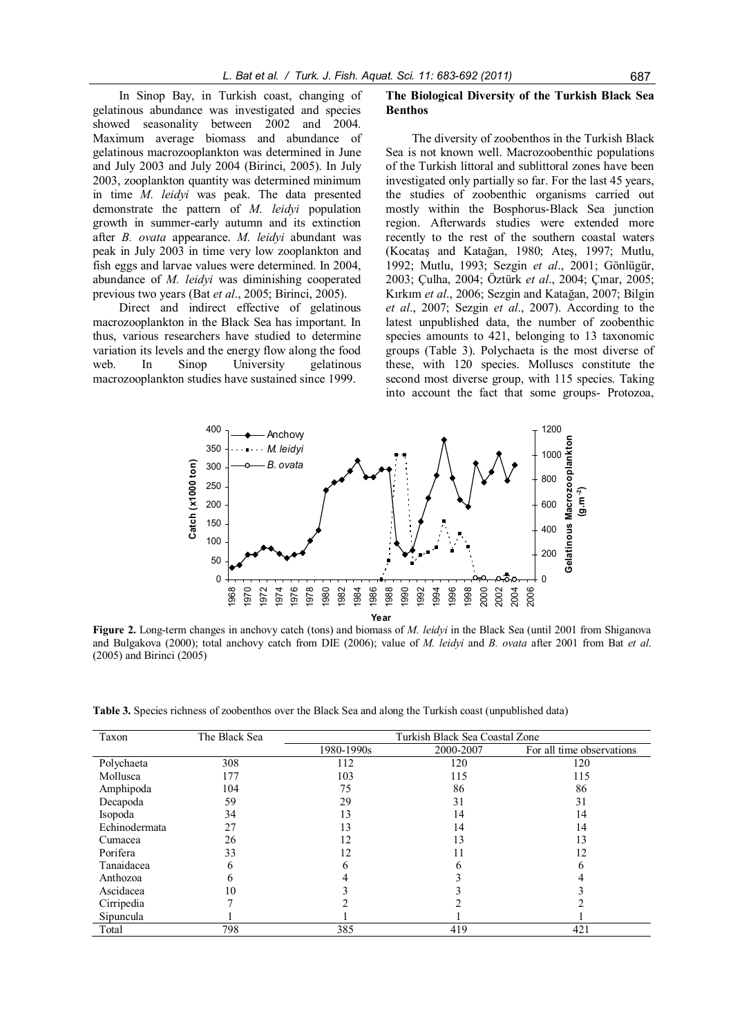In Sinop Bay, in Turkish coast, changing of gelatinous abundance was investigated and species showed seasonality between 2002 and 2004. Maximum average biomass and abundance of gelatinous macrozooplankton was determined in June and July 2003 and July 2004 (Birinci, 2005). In July 2003, zooplankton quantity was determined minimum in time *M. leidyi* was peak. The data presented demonstrate the pattern of *M. leidyi* population growth in summer-early autumn and its extinction after *B. ovata* appearance. *M. leidyi* abundant was peak in July 2003 in time very low zooplankton and fish eggs and larvae values were determined. In 2004, abundance of *M. leidyi* was diminishing cooperated previous two years (Bat *et al*., 2005; Birinci, 2005).

Direct and indirect effective of gelatinous macrozooplankton in the Black Sea has important. In thus, various researchers have studied to determine variation its levels and the energy flow along the food web. In Sinop University gelatinous macrozooplankton studies have sustained since 1999.

#### **The Biological Diversity of the Turkish Black Sea Benthos**

The diversity of zoobenthos in the Turkish Black Sea is not known well. Macrozoobenthic populations of the Turkish littoral and sublittoral zones have been investigated only partially so far. For the last 45 years, the studies of zoobenthic organisms carried out mostly within the Bosphorus-Black Sea junction region. Afterwards studies were extended more recently to the rest of the southern coastal waters (Kocataş and Katağan, 1980; Ateş, 1997; Mutlu, 1992; Mutlu, 1993; Sezgin *et al*., 2001; Gönlügür, 2003; Çulha, 2004; Öztürk *et al*., 2004; Çınar, 2005; Kırkım *et al*., 2006; Sezgin and Katağan, 2007; Bilgin *et al*., 2007; Sezgin *et al*., 2007). According to the latest unpublished data, the number of zoobenthic species amounts to 421, belonging to 13 taxonomic groups (Table 3). Polychaeta is the most diverse of these, with 120 species. Molluscs constitute the second most diverse group, with 115 species. Taking into account the fact that some groups- Protozoa,



**Figure 2.** Long-term changes in anchovy catch (tons) and biomass of *M. leidyi* in the Black Sea (until 2001 from Shiganova and Bulgakova (2000); total anchovy catch from DIE (2006); value of *M. leidyi* and *B. ovata* after 2001 from Bat *et al*. (2005) and Birinci (2005)

**Table 3.** Species richness of zoobenthos over the Black Sea and along the Turkish coast (unpublished data)

| Taxon         | The Black Sea | Turkish Black Sea Coastal Zone |           |                           |  |  |  |  |
|---------------|---------------|--------------------------------|-----------|---------------------------|--|--|--|--|
|               |               | 1980-1990s                     | 2000-2007 | For all time observations |  |  |  |  |
| Polychaeta    | 308           | 112                            | 120       | 120                       |  |  |  |  |
| Mollusca      | 177           | 103                            | 115       | 115                       |  |  |  |  |
| Amphipoda     | 104           | 75                             | 86        | 86                        |  |  |  |  |
| Decapoda      | 59            | 29                             | 31        | 31                        |  |  |  |  |
| Isopoda       | 34            | 13                             | 14        | 14                        |  |  |  |  |
| Echinodermata | 27            | 13                             | 14        | 14                        |  |  |  |  |
| Cumacea       | 26            |                                | 3 ا       | 13                        |  |  |  |  |
| Porifera      | 33            | 12                             |           | 12                        |  |  |  |  |
| Tanaidacea    | 6             | n                              |           | n                         |  |  |  |  |
| Anthozoa      | h             |                                |           |                           |  |  |  |  |
| Ascidacea     | 10            |                                |           |                           |  |  |  |  |
| Cirripedia    |               |                                |           |                           |  |  |  |  |
| Sipuncula     |               |                                |           |                           |  |  |  |  |
| Total         | 798           | 385                            | 419       | 421                       |  |  |  |  |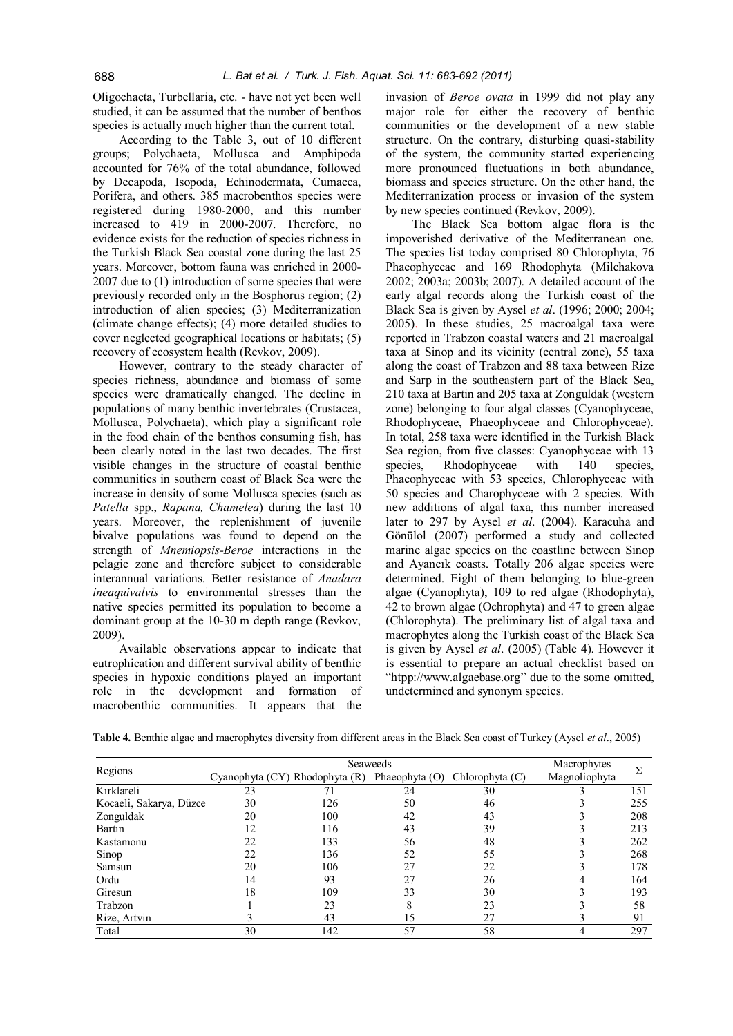Oligochaeta, Turbellaria, etc. - have not yet been well studied, it can be assumed that the number of benthos species is actually much higher than the current total.

According to the Table 3, out of 10 different groups; Polychaeta, Mollusca and Amphipoda accounted for 76% of the total abundance, followed by Decapoda, Isopoda, Echinodermata, Cumacea, Porifera, and others. 385 macrobenthos species were registered during 1980-2000, and this number increased to 419 in 2000-2007. Therefore, no evidence exists for the reduction of species richness in the Turkish Black Sea coastal zone during the last 25 years. Moreover, bottom fauna was enriched in 2000- 2007 due to (1) introduction of some species that were previously recorded only in the Bosphorus region; (2) introduction of alien species; (3) Mediterranization (climate change effects); (4) more detailed studies to cover neglected geographical locations or habitats; (5) recovery of ecosystem health (Revkov, 2009).

However, contrary to the steady character of species richness, abundance and biomass of some species were dramatically changed. The decline in populations of many benthic invertebrates (Crustacea, Mollusca, Polychaeta), which play a significant role in the food chain of the benthos consuming fish, has been clearly noted in the last two decades. The first visible changes in the structure of coastal benthic communities in southern coast of Black Sea were the increase in density of some Mollusca species (such as *Patella* spp., *Rapana, Chamelea*) during the last 10 years. Moreover, the replenishment of juvenile bivalve populations was found to depend on the strength of *Mnemiopsis-Beroe* interactions in the pelagic zone and therefore subject to considerable interannual variations. Better resistance of *Anadara ineaquivalvis* to environmental stresses than the native species permitted its population to become a dominant group at the 10-30 m depth range (Revkov, 2009).

Available observations appear to indicate that eutrophication and different survival ability of benthic species in hypoxic conditions played an important role in the development and formation of macrobenthic communities. It appears that the

invasion of *Beroe ovata* in 1999 did not play any major role for either the recovery of benthic communities or the development of a new stable structure. On the contrary, disturbing quasi-stability of the system, the community started experiencing more pronounced fluctuations in both abundance, biomass and species structure. On the other hand, the Mediterranization process or invasion of the system by new species continued (Revkov, 2009).

The Black Sea bottom algae flora is the impoverished derivative of the Mediterranean one. The species list today comprised 80 Chlorophyta, 76 Phaeophyceae and 169 Rhodophyta (Milchakova 2002; 2003a; 2003b; 2007). A detailed account of the early algal records along the Turkish coast of the Black Sea is given by Aysel *et al*. (1996; 2000; 2004; 2005). In these studies, 25 macroalgal taxa were reported in Trabzon coastal waters and 21 macroalgal taxa at Sinop and its vicinity (central zone), 55 taxa along the coast of Trabzon and 88 taxa between Rize and Sarp in the southeastern part of the Black Sea, 210 taxa at Bartin and 205 taxa at Zonguldak (western zone) belonging to four algal classes (Cyanophyceae, Rhodophyceae, Phaeophyceae and Chlorophyceae). In total, 258 taxa were identified in the Turkish Black Sea region, from five classes: Cyanophyceae with 13 species, Rhodophyceae with 140 species, Phaeophyceae with 53 species, Chlorophyceae with 50 species and Charophyceae with 2 species. With new additions of algal taxa, this number increased later to 297 by Aysel *et al*. (2004). Karacuha and Gönülol (2007) performed a study and collected marine algae species on the coastline between Sinop and Ayancık coasts. Totally 206 algae species were determined. Eight of them belonging to blue-green algae (Cyanophyta), 109 to red algae (Rhodophyta), 42 to brown algae (Ochrophyta) and 47 to green algae (Chlorophyta). The preliminary list of algal taxa and macrophytes along the Turkish coast of the Black Sea is given by Aysel *et al*. (2005) (Table 4). However it is essential to prepare an actual checklist based on "htpp://www.algaebase.org" due to the some omitted, undetermined and synonym species.

|                         |                 | Macrophytes    |                |                   |               |     |
|-------------------------|-----------------|----------------|----------------|-------------------|---------------|-----|
| Regions                 | Cyanophyta (CY) | Rhodophyta (R) | Phaeophyta (O) | Chlorophyta $(C)$ | Magnoliophyta |     |
| Kırklareli              | 23              | 71             | 24             | 30                |               | 151 |
| Kocaeli, Sakarya, Düzce | 30              | 126            | 50             | 46                |               | 255 |
| Zonguldak               | 20              | 100            | 42             | 43                |               | 208 |
| Bartin                  | 12              | 116            | 43             | 39                |               | 213 |
| Kastamonu               | 22              | 133            | 56             | 48                |               | 262 |
| Sinop                   | 22              | 136            | 52             | 55                |               | 268 |
| Samsun                  | 20              | 106            | 27             | 22                |               | 178 |
| Ordu                    | 14              | 93             | 27             | 26                |               | 164 |
| Giresun                 | 18              | 109            | 33             | 30                |               | 193 |
| Trabzon                 |                 | 23             | 8              | 23                |               | 58  |
| Rize, Artvin            |                 | 43             | 15             | 27                |               | 91  |
| Total                   | 30              | 142            | 57             | 58                |               | 297 |

**Table 4.** Benthic algae and macrophytes diversity from different areas in the Black Sea coast of Turkey (Aysel *et al*., 2005)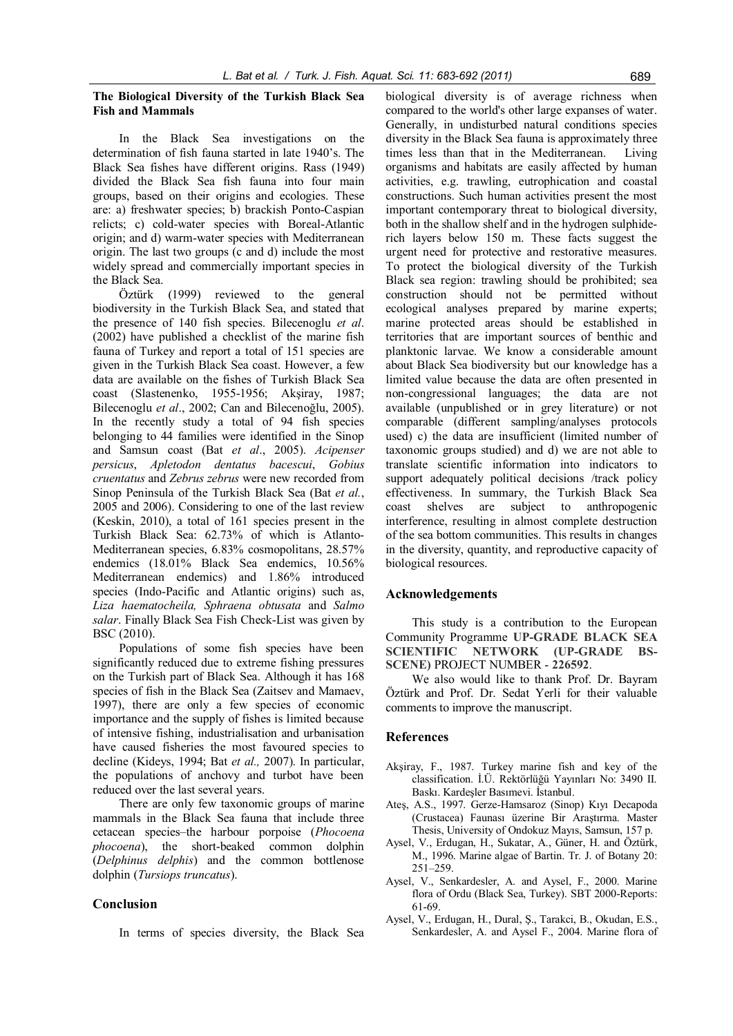# **The Biological Diversity of the Turkish Black Sea Fish and Mammals**

In the Black Sea investigations on the determination of fish fauna started in late 1940's. The Black Sea fishes have different origins. Rass (1949) divided the Black Sea fish fauna into four main groups, based on their origins and ecologies. These are: a) freshwater species; b) brackish Ponto-Caspian relicts; c) cold-water species with Boreal-Atlantic origin; and d) warm-water species with Mediterranean origin. The last two groups (c and d) include the most widely spread and commercially important species in the Black Sea.

Öztürk (1999) reviewed to the general biodiversity in the Turkish Black Sea, and stated that the presence of 140 fish species. Bilecenoglu *et al*. (2002) have published a checklist of the marine fish fauna of Turkey and report a total of 151 species are given in the Turkish Black Sea coast. However, a few data are available on the fishes of Turkish Black Sea coast (Slastenenko, 1955-1956; Akşiray, 1987; Bilecenoglu *et al*., 2002; Can and Bilecenoğlu, 2005). In the recently study a total of 94 fish species belonging to 44 families were identified in the Sinop and Samsun coast (Bat *et al*., 2005). *Acipenser persicus*, *Apletodon dentatus bacescui*, *Gobius cruentatus* and *Zebrus zebrus* were new recorded from Sinop Peninsula of the Turkish Black Sea (Bat *et al.*, 2005 and 2006). Considering to one of the last review (Keskin, 2010), a total of 161 species present in the Turkish Black Sea: 62.73% of which is Atlanto-Mediterranean species, 6.83% cosmopolitans, 28.57% endemics (18.01% Black Sea endemics, 10.56% Mediterranean endemics) and 1.86% introduced species (Indo-Pacific and Atlantic origins) such as, *Liza haematocheila, Sphraena obtusata* and *Salmo salar*. Finally Black Sea Fish Check-List was given by BSC (2010).

Populations of some fish species have been significantly reduced due to extreme fishing pressures on the Turkish part of Black Sea. Although it has 168 species of fish in the Black Sea (Zaitsev and Mamaev, 1997), there are only a few species of economic importance and the supply of fishes is limited because of intensive fishing, industrialisation and urbanisation have caused fisheries the most favoured species to decline (Kideys, 1994; Bat *et al.,* 2007). In particular, the populations of anchovy and turbot have been reduced over the last several years.

There are only few taxonomic groups of marine mammals in the Black Sea fauna that include three cetacean species–the harbour porpoise (*Phocoena phocoena*), the short-beaked common dolphin (*Delphinus delphis*) and the common bottlenose dolphin (*Tursiops truncatus*).

### **Conclusion**

In terms of species diversity, the Black Sea

biological diversity is of average richness when compared to the world's other large expanses of water. Generally, in undisturbed natural conditions species diversity in the Black Sea fauna is approximately three times less than that in the Mediterranean. Living organisms and habitats are easily affected by human activities, e.g. trawling, eutrophication and coastal constructions. Such human activities present the most important contemporary threat to biological diversity, both in the shallow shelf and in the hydrogen sulphiderich layers below 150 m. These facts suggest the urgent need for protective and restorative measures. To protect the biological diversity of the Turkish Black sea region: trawling should be prohibited; sea construction should not be permitted without ecological analyses prepared by marine experts; marine protected areas should be established in territories that are important sources of benthic and planktonic larvae. We know a considerable amount about Black Sea biodiversity but our knowledge has a limited value because the data are often presented in non-congressional languages; the data are not available (unpublished or in grey literature) or not comparable (different sampling/analyses protocols used) c) the data are insufficient (limited number of taxonomic groups studied) and d) we are not able to translate scientific information into indicators to support adequately political decisions /track policy effectiveness. In summary, the Turkish Black Sea coast shelves are subject to anthropogenic interference, resulting in almost complete destruction of the sea bottom communities. This results in changes in the diversity, quantity, and reproductive capacity of biological resources.

#### **Acknowledgements**

This study is a contribution to the European Community Programme **UP-GRADE BLACK SEA SCIENTIFIC NETWORK (UP-GRADE BS-SCENE)** PROJECT NUMBER - **226592**.

We also would like to thank Prof. Dr. Bayram Öztürk and Prof. Dr. Sedat Yerli for their valuable comments to improve the manuscript.

#### **References**

- Akşiray, F., 1987. Turkey marine fish and key of the classification. İ.Ü. Rektörlüğü Yayınları No: 3490 II. Baskı. Kardeşler Basımevi. İstanbul.
- Ateş, A.S., 1997. Gerze-Hamsaroz (Sinop) Kıyı Decapoda (Crustacea) Faunası üzerine Bir Araştırma. Master Thesis, University of Ondokuz Mayıs, Samsun, 157 p.
- Aysel, V., Erdugan, H., Sukatar, A., Güner, H. and Öztürk, M., 1996. Marine algae of Bartin. Tr. J. of Botany 20: 251–259.
- Aysel, V., Senkardesler, A. and Aysel, F., 2000. Marine flora of Ordu (Black Sea, Turkey). SBT 2000-Reports: 61-69.
- Aysel, V., Erdugan, H., Dural, Ş., Tarakci, B., Okudan, E.S., Senkardesler, A. and Aysel F., 2004. Marine flora of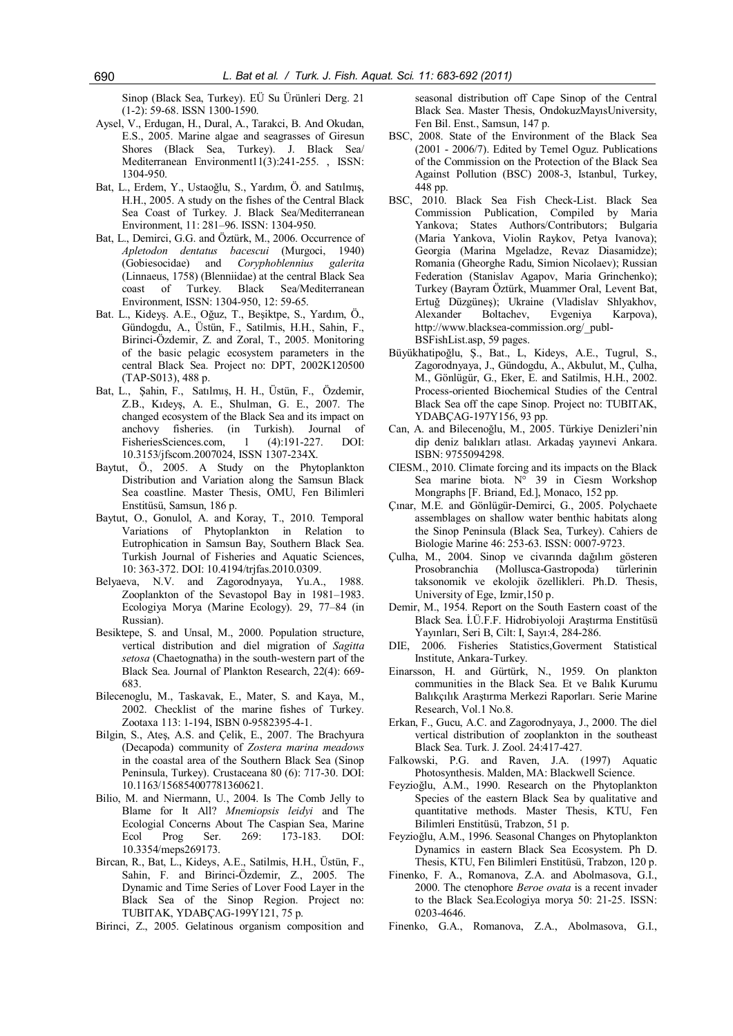Sinop (Black Sea, Turkey). EÜ Su Ürünleri Derg. 21 (1-2): 59-68. ISSN 1300-1590.

- Aysel, V., Erdugan, H., Dural, A., Tarakci, B. And Okudan, E.S., 2005. Marine algae and seagrasses of Giresun Shores (Black Sea, Turkey). J. Black Sea/ Mediterranean Environment11(3):241-255. , ISSN: 1304-950.
- Bat, L., Erdem, Y., Ustaoğlu, S., Yardım, Ö. and Satılmış, H.H., 2005. A study on the fishes of the Central Black Sea Coast of Turkey. J. Black Sea/Mediterranean Environment, 11: 281–96. ISSN: 1304-950.
- Bat, L., Demirci, G.G. and Öztürk, M., 2006. Occurrence of *Apletodon dentatus bacescui* (Murgoci, 1940) (Gobiesocidae) and *Coryphoblennius galerita* (Linnaeus, 1758) (Blenniidae) at the central Black Sea coast of Turkey. Black Sea/Mediterranean Environment, ISSN: 1304-950, 12: 59-65.
- Bat. L., Kideyş. A.E., Oğuz, T., Beşiktpe, S., Yardım, Ö., Gündogdu, A., Üstün, F., Satilmis, H.H., Sahin, F., Birinci-Özdemir, Z. and Zoral, T., 2005. Monitoring of the basic pelagic ecosystem parameters in the central Black Sea. Project no: DPT, 2002K120500 (TAP-S013), 488 p.
- Bat, L., Şahin, F., Satılmış, H. H., Üstün, F., Özdemir, Z.B., Kıdeyş, A. E., Shulman, G. E., 2007. The changed ecosystem of the Black Sea and its impact on anchovy fisheries. (in Turkish). Journal of FisheriesSciences.com, 1 (4):191-227. DOI: 10.3153/jfscom.2007024, ISSN 1307-234X.
- Baytut, Ö., 2005. A Study on the Phytoplankton Distribution and Variation along the Samsun Black Sea coastline. Master Thesis, OMU, Fen Bilimleri Enstitüsü, Samsun, 186 p.
- Baytut, O., Gonulol, A. and Koray, T., 2010. Temporal Variations of Phytoplankton in Relation to Eutrophication in Samsun Bay, Southern Black Sea. Turkish Journal of Fisheries and Aquatic Sciences, 10: 363-372. DOI: 10.4194/trjfas.2010.0309.
- Belyaeva, N.V. and Zagorodnyaya, Yu.A., 1988. Zooplankton of the Sevastopol Bay in 1981–1983. Ecologiya Morya (Marine Ecology). 29, 77–84 (in Russian).
- Besiktepe, S. and Unsal, M., 2000. Population structure, vertical distribution and diel migration of *Sagitta setosa* (Chaetognatha) in the south-western part of the Black Sea. Journal of Plankton Research, 22(4): 669- 683.
- Bilecenoglu, M., Taskavak, E., Mater, S. and Kaya, M., 2002. Checklist of the marine fishes of Turkey. Zootaxa 113: 1-194, ISBN 0-9582395-4-1.
- Bilgin, S., Ateş, A.S. and Çelik, E., 2007. The Brachyura (Decapoda) community of *Zostera marina meadows* in the coastal area of the Southern Black Sea (Sinop Peninsula, Turkey). Crustaceana 80 (6): 717-30. DOI: 10.1163/156854007781360621.
- Bilio, M. and Niermann, U., 2004. Is The Comb Jelly to Blame for It All? *Mnemiopsis leidyi* and The Ecologial Concerns About The Caspian Sea, Marine Ecol Prog Ser. 269: 173-183. DOI: 10.3354/meps269173.
- Bircan, R., Bat, L., Kideys, A.E., Satilmis, H.H., Üstün, F., Sahin, F. and Birinci-Özdemir, Z., 2005. The Dynamic and Time Series of Lover Food Layer in the Black Sea of the Sinop Region. Project no: TUBITAK, YDABÇAG-199Y121, 75 p.
- Birinci, Z., 2005. Gelatinous organism composition and

seasonal distribution off Cape Sinop of the Central Black Sea. Master Thesis, OndokuzMayısUniversity, Fen Bil. Enst., Samsun, 147 p.

- BSC, 2008. State of the Environment of the Black Sea (2001 - 2006/7). Edited by Temel Oguz. Publications of the Commission on the Protection of the Black Sea Against Pollution (BSC) 2008-3, Istanbul, Turkey, 448 pp.
- BSC, 2010. Black Sea Fish Check-List. Black Sea Commission Publication, Compiled by Maria Yankova; States Authors/Contributors; Bulgaria (Maria Yankova, Violin Raykov, Petya Ivanova); Georgia (Marina Mgeladze, Revaz Diasamidze); Romania (Gheorghe Radu, Simion Nicolaev); Russian Federation (Stanislav Agapov, Maria Grinchenko); Turkey (Bayram Öztürk, Muammer Oral, Levent Bat, Ertuğ Düzgüneş); Ukraine (Vladislav Shlyakhov, Alexander Boltachev, Evgeniya Karpova), http://www.blacksea-commission.org/\_publ-BSFishList.asp, 59 pages.
- Büyükhatipoğlu, Ş., Bat., L, Kideys, A.E., Tugrul, S., Zagorodnyaya, J., Gündogdu, A., Akbulut, M., Çulha, M., Gönlügür, G., Eker, E. and Satilmis, H.H., 2002. Process-oriented Biochemical Studies of the Central Black Sea off the cape Sinop. Project no: TUBITAK, YDABÇAG-197Y156, 93 pp.
- Can, A. and Bilecenoğlu, M., 2005. Türkiye Denizleri'nin dip deniz balıkları atlası. Arkadaş yayınevi Ankara. ISBN: 9755094298.
- CIESM., 2010. Climate forcing and its impacts on the Black Sea marine biota.  $N^{\circ}$  39 in Ciesm Workshop Mongraphs [F. Briand, Ed.], Monaco, 152 pp.
- Çınar, M.E. and Gönlügür-Demirci, G., 2005. Polychaete assemblages on shallow water benthic habitats along the Sinop Peninsula (Black Sea, Turkey). Cahiers de Biologie Marine 46: 253-63. ISSN: 0007-9723.
- Çulha, M., 2004. Sinop ve civarında dağılım gösteren Prosobranchia (Mollusca-Gastropoda) türlerinin taksonomik ve ekolojik özellikleri. Ph.D. Thesis, University of Ege, Izmir,150 p.
- Demir, M., 1954. Report on the South Eastern coast of the Black Sea. İ.Ü.F.F. Hidrobiyoloji Araştırma Enstitüsü Yayınları, Seri B, Cilt: I, Sayı:4, 284-286.
- DIE, 2006. Fisheries Statistics,Goverment Statistical Institute, Ankara-Turkey.
- Einarsson, H. and Gürtürk, N., 1959. On plankton communities in the Black Sea. Et ve Balık Kurumu Balıkçılık Araştırma Merkezi Raporları. Serie Marine Research, Vol.1 No.8.
- Erkan, F., Gucu, A.C. and Zagorodnyaya, J., 2000. The diel vertical distribution of zooplankton in the southeast Black Sea. Turk. J. Zool. 24:417-427.
- Falkowski, P.G. and Raven, J.A. (1997) Aquatic Photosynthesis. Malden, MA: Blackwell Science.
- Feyzioğlu, A.M., 1990. Research on the Phytoplankton Species of the eastern Black Sea by qualitative and quantitative methods. Master Thesis, KTU, Fen Bilimleri Enstitüsü, Trabzon, 51 p.
- Feyzioğlu, A.M., 1996. Seasonal Changes on Phytoplankton Dynamics in eastern Black Sea Ecosystem. Ph D. Thesis, KTU, Fen Bilimleri Enstitüsü, Trabzon, 120 p.
- Finenko, F. A., Romanova, Z.A. and Abolmasova, G.I., 2000. The ctenophore *Beroe ovata* is a recent invader to the Black Sea.Ecologiya morya 50: 21-25. ISSN: 0203-4646.
- Finenko, G.A., Romanova, Z.A., Abolmasova, G.I.,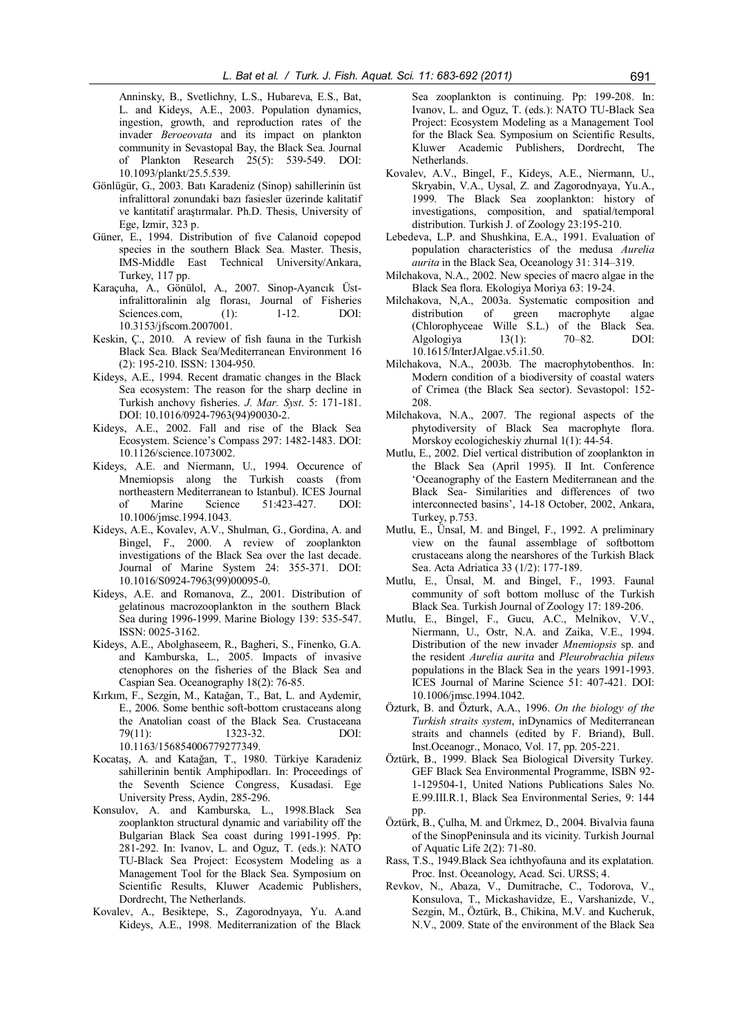Anninsky, B., Svetlichny, L.S., Hubareva, E.S., Bat, L. and Kideys, A.E., 2003. Population dynamics, ingestion, growth, and reproduction rates of the invader *Beroeovata* and its impact on plankton community in Sevastopal Bay, the Black Sea. Journal of Plankton Research 25(5): 539-549. DOI: 10.1093/plankt/25.5.539.

- Gönlügür, G., 2003. Batı Karadeniz (Sinop) sahillerinin üst infralittoral zonundaki bazı fasiesler üzerinde kalitatif ve kantitatif araştırmalar. Ph.D. Thesis, University of Ege, Izmir, 323 p.
- Güner, E., 1994. Distribution of five Calanoid copepod species in the southern Black Sea. Master. Thesis, IMS-Middle East Technical University/Ankara, Turkey, 117 pp.
- Karaçuha, A., Gönülol, A., 2007. Sinop-Ayancık Üstinfralittoralinin alg florası, Journal of Fisheries Sciences.com, (1): 1-12. DOI: 10.3153/jfscom.2007001.
- Keskin, Ç., 2010. A review of fish fauna in the Turkish Black Sea. Black Sea/Mediterranean Environment 16 (2): 195-210. ISSN: 1304-950.
- Kideys, A.E., 1994. Recent dramatic changes in the Black Sea ecosystem: The reason for the sharp decline in Turkish anchovy fisheries. *J. Mar. Syst*. 5: 171-181. DOI: 10.1016/0924-7963(94)90030-2.
- Kideys, A.E., 2002. Fall and rise of the Black Sea Ecosystem. Science's Compass 297: 1482-1483. DOI: 10.1126/science.1073002.
- Kideys, A.E. and Niermann, U., 1994. Occurence of Mnemiopsis along the Turkish coasts (from northeastern Mediterranean to Istanbul). ICES Journal of Marine Science 51:423-427. DOI: 10.1006/jmsc.1994.1043.
- Kideys, A.E., Kovalev, A.V., Shulman, G., Gordina, A. and Bingel, F., 2000. A review of zooplankton investigations of the Black Sea over the last decade. Journal of Marine System 24: 355-371. DOI: 10.1016/S0924-7963(99)00095-0.
- Kideys, A.E. and Romanova, Z., 2001. Distribution of gelatinous macrozooplankton in the southern Black Sea during 1996-1999. Marine Biology 139: 535-547. ISSN: 0025-3162.
- Kideys, A.E., Abolghaseem, R., Bagheri, S., Finenko, G.A. and Kamburska, L., 2005. Impacts of invasive ctenophores on the fisheries of the Black Sea and Caspian Sea. Oceanography 18(2): 76-85.
- Kırkım, F., Sezgin, M., Katağan, T., Bat, L. and Aydemir, E., 2006. Some benthic soft-bottom crustaceans along the Anatolian coast of the Black Sea. Crustaceana 79(11): 1323-32. DOI: 10.1163/156854006779277349.
- Kocataş, A. and Katağan, T., 1980. Türkiye Karadeniz sahillerinin bentik Amphipodları. In: Proceedings of the Seventh Science Congress, Kusadasi. Ege University Press, Aydin, 285-296.
- Konsulov, A. and Kamburska, L., 1998.Black Sea zooplankton structural dynamic and variability off the Bulgarian Black Sea coast during 1991-1995. Pp: 281-292. In: Ivanov, L. and Oguz, T. (eds.): NATO TU-Black Sea Project: Ecosystem Modeling as a Management Tool for the Black Sea. Symposium on Scientific Results, Kluwer Academic Publishers, Dordrecht, The Netherlands.
- Kovalev, A., Besiktepe, S., Zagorodnyaya, Yu. A.and Kideys, A.E., 1998. Mediterranization of the Black

Sea zooplankton is continuing. Pp: 199-208. In: Ivanov, L. and Oguz, T. (eds.): NATO TU-Black Sea Project: Ecosystem Modeling as a Management Tool for the Black Sea. Symposium on Scientific Results, Kluwer Academic Publishers, Dordrecht, The Netherlands.

- Kovalev, A.V., Bingel, F., Kideys, A.E., Niermann, U., Skryabin, V.A., Uysal, Z. and Zagorodnyaya, Yu.A., 1999. The Black Sea zooplankton: history of investigations composition and spatial/temporal distribution. Turkish J. of Zoology 23:195-210.
- Lebedeva, L.P. and Shushkina, E.A., 1991. Evaluation of population characteristics of the medusa *Aurelia aurita* in the Black Sea, Oceanology 31: 314–319.
- Milchakova, N.A., 2002. New species of macro algae in the Black Sea flora. Ekologiya Moriya 63: 19-24.
- Milchakova, N,A., 2003a. Systematic composition and distribution of green macrophyte algae (Chlorophyceae Wille S.L.) of the Black Sea. Algologiya 13(1): 70–82. DOI: 10.1615/InterJAlgae.v5.i1.50.
- Milchakova, N.A., 2003b. The macrophytobenthos. In: Modern condition of a biodiversity of coastal waters of Crimea (the Black Sea sector). Sevastopol: 152- 208.
- Milchakova, N.A., 2007. The regional aspects of the phytodiversity of Black Sea macrophyte flora. Morskoy ecologicheskiy zhurnal 1(1): 44-54.
- Mutlu, E., 2002. Diel vertical distribution of zooplankton in the Black Sea (April 1995). II Int. Conference 'Oceanography of the Eastern Mediterranean and the Black Sea- Similarities and differences of two interconnected basins', 14-18 October, 2002, Ankara, Turkey, p.753.
- Mutlu, E., Ünsal, M. and Bingel, F., 1992. A preliminary view on the faunal assemblage of softbottom crustaceans along the nearshores of the Turkish Black Sea. Acta Adriatica 33 (1/2): 177-189.
- Mutlu, E., Ünsal, M. and Bingel, F., 1993. Faunal community of soft bottom mollusc of the Turkish Black Sea. Turkish Journal of Zoology 17: 189-206.
- Mutlu, E., Bingel, F., Gucu, A.C., Melnikov, V.V., Niermann, U., Ostr, N.A. and Zaika, V.E., 1994. Distribution of the new invader *Mnemiopsis* sp. and the resident *Aurelia aurita* and *Pleurobrachia pileus* populations in the Black Sea in the years 1991-1993. ICES Journal of Marine Science 51: 407-421. DOI: 10.1006/jmsc.1994.1042.
- Özturk, B. and Özturk, A.A., 1996. *On the biology of the Turkish straits system*, inDynamics of Mediterranean straits and channels (edited by F. Briand), Bull. Inst.Oceanogr., Monaco, Vol. 17, pp. 205-221.
- Öztürk, B., 1999. Black Sea Biological Diversity Turkey. GEF Black Sea Environmental Programme, ISBN 92- 1-129504-1, United Nations Publications Sales No. E.99.III.R.1, Black Sea Environmental Series, 9: 144 pp.
- Öztürk, B., Çulha, M. and Ürkmez, D., 2004. Bivalvia fauna of the SinopPeninsula and its vicinity. Turkish Journal of Aquatic Life 2(2): 71-80.
- Rass, T.S., 1949.Black Sea ichthyofauna and its explatation. Proc. Inst. Oceanology, Acad. Sci. URSS; 4.
- Revkov, N., Abaza, V., Dumitrache, C., Todorova, V., Konsulova, T., Mickashavidze, E., Varshanizde, V., Sezgin, M., Öztürk, B., Chikina, M.V. and Kucheruk, N.V., 2009. State of the environment of the Black Sea